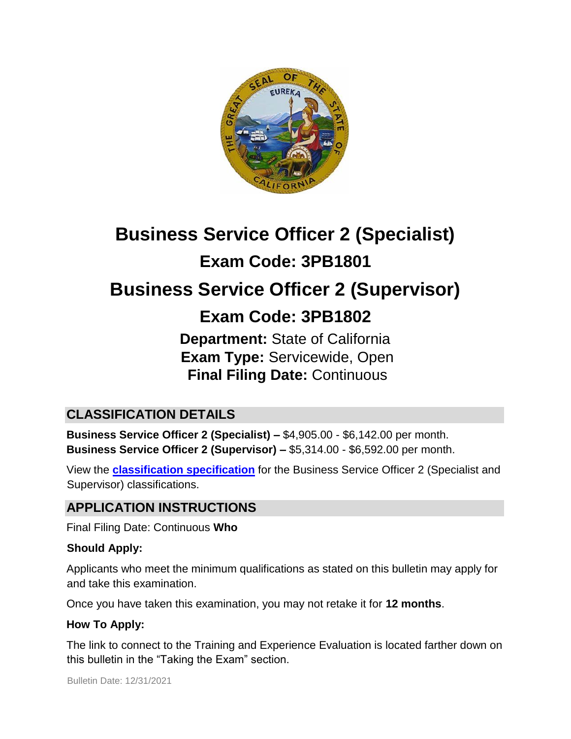

# **Business Service Officer 2 (Specialist) Exam Code: 3PB1801 Business Service Officer 2 (Supervisor)**

## **Exam Code: 3PB1802**

**Department:** State of California **Exam Type:** Servicewide, Open **Final Filing Date:** Continuous

## **CLASSIFICATION DETAILS**

**Business Service Officer 2 (Specialist) –** \$4,905.00 - \$6,142.00 per month. **Business Service Officer 2 (Supervisor) –** \$5,314.00 - \$6,592.00 per month.

View the **[classification specification](http://www.calhr.ca.gov/state-hr-professionals/pages/4707.aspx)** for the Business Service Officer 2 (Specialist and Supervisor) classifications.

## **APPLICATION INSTRUCTIONS**

Final Filing Date: Continuous **Who** 

#### **Should Apply:**

Applicants who meet the minimum qualifications as stated on this bulletin may apply for and take this examination.

Once you have taken this examination, you may not retake it for **12 months**.

#### **How To Apply:**

The link to connect to the Training and Experience Evaluation is located farther down on this bulletin in the "Taking the Exam" section.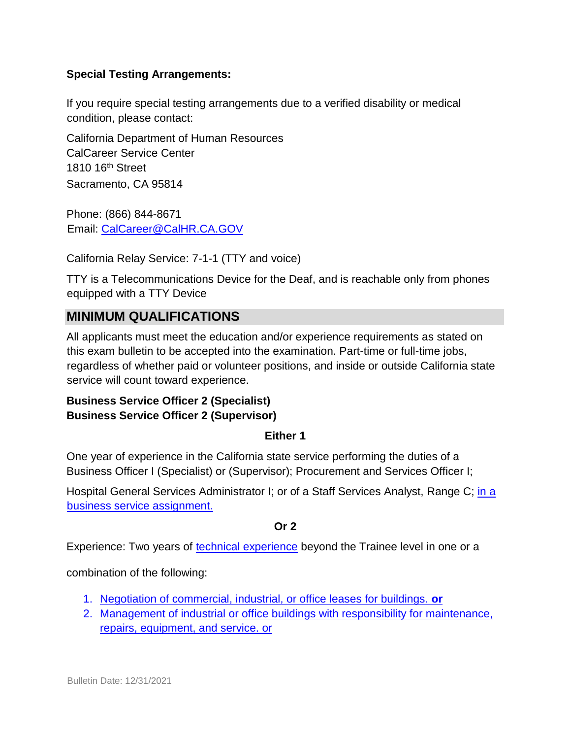#### **Special Testing Arrangements:**

If you require special testing arrangements due to a verified disability or medical condition, please contact:

California Department of Human Resources CalCareer Service Center 1810 16th Street Sacramento, CA 95814

Phone: (866) 844-8671 Email: CalCareer@CalHR.CA.GOV

California Relay Service: 7-1-1 (TTY and voice)

TTY is a Telecommunications Device for the Deaf, and is reachable only from phones equipped with a TTY Device

#### **MINIMUM QUALIFICATIONS**

All applicants must meet the education and/or experience requirements as stated on this exam bulletin to be accepted into the examination. Part-time or full-time jobs, regardless of whether paid or volunteer positions, and inside or outside California state service will count toward experience.

#### **Business Service Officer 2 (Specialist) Business Service Officer 2 (Supervisor)**

#### **Either 1**

One year of experience in the California state service performing the duties of a Business Officer I (Specialist) or (Supervisor); Procurement and Services Officer I;

Hospital General Services Administrator I; or of a Staff Services Analyst, Range C; [in a](https://jobs.ca.gov/jobsgen/3PB18A.pdf) [business service assignment.](https://jobs.ca.gov/jobsgen/3PB18A.pdf)

#### **Or 2**

Experience: Two years of [technical experience](https://jobs.ca.gov/jobsgen/3PB18B.pdf) beyond the Trainee level in one or a

combination of the following:

- 1. [Negotiation of commercial, industrial, or office leases for buildings.](https://jobs.ca.gov/jobsgen/3PB18B.pdf) **[or](https://jobs.ca.gov/jobsgen/3PB18B.pdf)**
- 2. [Management of industrial or office buildings with responsibility for maintenance,](https://jobs.ca.gov/jobsgen/3PB18B.pdf) [repairs, equipment, and service. or](https://jobs.ca.gov/jobsgen/3PB18B.pdf)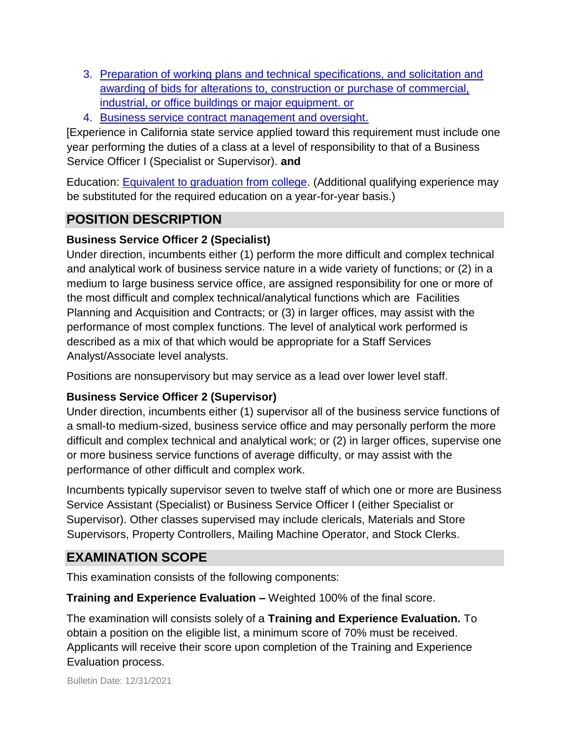- 3. [Preparation of working plans and technical specifications, and solicitation and](https://jobs.ca.gov/jobsgen/3PB18B.pdf) [awarding of bids for alterations to, construction or purchase of commercial,](https://jobs.ca.gov/jobsgen/3PB18B.pdf) [industrial, or office buildings or major equipment. or](https://jobs.ca.gov/jobsgen/3PB18B.pdf)
- 4. [Business service contract management and oversight.](https://jobs.ca.gov/jobsgen/3PB18B.pdf)

[Experience in California state service applied toward this requirement must include one year performing the duties of a class at a level of responsibility to that of a Business Service Officer I (Specialist or Supervisor). **and** 

Education: [Equivalent to graduation from college.](https://jobs.ca.gov/jobsgen/Equiv-to-grad-from-college.pdf) (Additional qualifying experience may be substituted for the required education on a year-for-year basis.)

## **POSITION DESCRIPTION**

#### **Business Service Officer 2 (Specialist)**

Under direction, incumbents either (1) perform the more difficult and complex technical and analytical work of business service nature in a wide variety of functions; or (2) in a medium to large business service office, are assigned responsibility for one or more of the most difficult and complex technical/analytical functions which are Facilities Planning and Acquisition and Contracts; or (3) in larger offices, may assist with the performance of most complex functions. The level of analytical work performed is described as a mix of that which would be appropriate for a Staff Services Analyst/Associate level analysts.

Positions are nonsupervisory but may service as a lead over lower level staff.

#### **Business Service Officer 2 (Supervisor)**

Under direction, incumbents either (1) supervisor all of the business service functions of a small-to medium-sized, business service office and may personally perform the more difficult and complex technical and analytical work; or (2) in larger offices, supervise one or more business service functions of average difficulty, or may assist with the performance of other difficult and complex work.

Incumbents typically supervisor seven to twelve staff of which one or more are Business Service Assistant (Specialist) or Business Service Officer I (either Specialist or Supervisor). Other classes supervised may include clericals, Materials and Store Supervisors, Property Controllers, Mailing Machine Operator, and Stock Clerks.

## **EXAMINATION SCOPE**

This examination consists of the following components:

**Training and Experience Evaluation –** Weighted 100% of the final score.

The examination will consists solely of a **Training and Experience Evaluation.** To obtain a position on the eligible list, a minimum score of 70% must be received. Applicants will receive their score upon completion of the Training and Experience Evaluation process.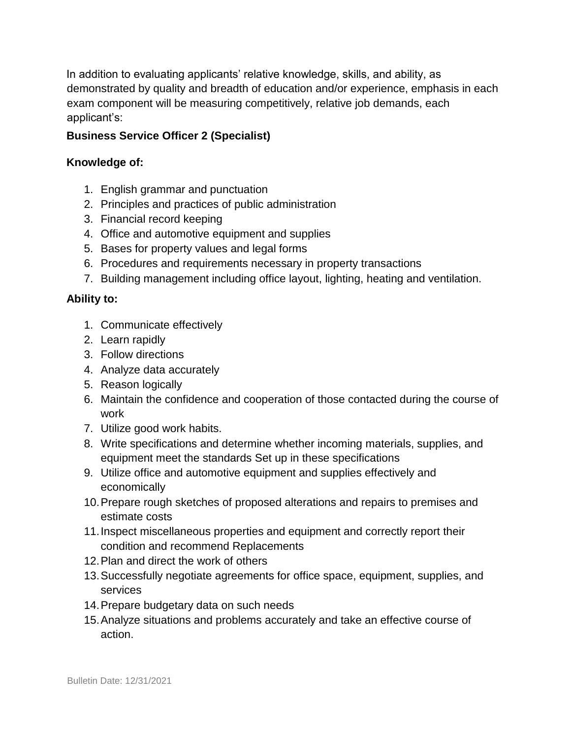In addition to evaluating applicants' relative knowledge, skills, and ability, as demonstrated by quality and breadth of education and/or experience, emphasis in each exam component will be measuring competitively, relative job demands, each applicant's:

#### **Business Service Officer 2 (Specialist)**

#### **Knowledge of:**

- 1. English grammar and punctuation
- 2. Principles and practices of public administration
- 3. Financial record keeping
- 4. Office and automotive equipment and supplies
- 5. Bases for property values and legal forms
- 6. Procedures and requirements necessary in property transactions
- 7. Building management including office layout, lighting, heating and ventilation.

#### **Ability to:**

- 1. Communicate effectively
- 2. Learn rapidly
- 3. Follow directions
- 4. Analyze data accurately
- 5. Reason logically
- 6. Maintain the confidence and cooperation of those contacted during the course of work
- 7. Utilize good work habits.
- 8. Write specifications and determine whether incoming materials, supplies, and equipment meet the standards Set up in these specifications
- 9. Utilize office and automotive equipment and supplies effectively and economically
- 10.Prepare rough sketches of proposed alterations and repairs to premises and estimate costs
- 11.Inspect miscellaneous properties and equipment and correctly report their condition and recommend Replacements
- 12.Plan and direct the work of others
- 13.Successfully negotiate agreements for office space, equipment, supplies, and services
- 14.Prepare budgetary data on such needs
- 15.Analyze situations and problems accurately and take an effective course of action.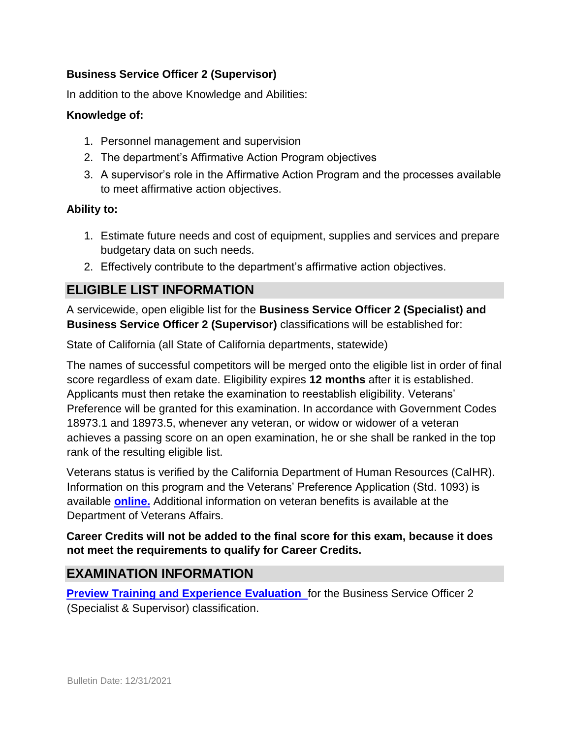#### **Business Service Officer 2 (Supervisor)**

In addition to the above Knowledge and Abilities:

#### **Knowledge of:**

- 1. Personnel management and supervision
- 2. The department's Affirmative Action Program objectives
- 3. A supervisor's role in the Affirmative Action Program and the processes available to meet affirmative action objectives.

#### **Ability to:**

- 1. Estimate future needs and cost of equipment, supplies and services and prepare budgetary data on such needs.
- 2. Effectively contribute to the department's affirmative action objectives.

## **ELIGIBLE LIST INFORMATION**

A servicewide, open eligible list for the **Business Service Officer 2 (Specialist) and Business Service Officer 2 (Supervisor)** classifications will be established for:

State of California (all State of California departments, statewide)

The names of successful competitors will be merged onto the eligible list in order of final score regardless of exam date. Eligibility expires **12 months** after it is established. Applicants must then retake the examination to reestablish eligibility. Veterans' Preference will be granted for this examination. In accordance with Government Codes 18973.1 and 18973.5, whenever any veteran, or widow or widower of a veteran achieves a passing score on an open examination, he or she shall be ranked in the top rank of the resulting eligible list.

Veterans status is verified by the California Department of Human Resources (CalHR). Information on this program and the Veterans' Preference Application (Std. 1093) is available **[online.](https://www.jobs.ca.gov/CalHRPublic/Landing/Jobs/VeteransInformation.aspx)** [A](https://www.jobs.ca.gov/CalHRPublic/Landing/Jobs/VeteransInformation.aspx)dditional information on veteran benefits is available at the Department of Veterans Affairs.

#### **Career Credits will not be added to the final score for this exam, because it does not meet the requirements to qualify for Career Credits.**

## **EXAMINATION INFORMATION**

**Preview Training and Experience Evaluation** for the Business Service Officer 2 (Specialist & Supervisor) classification.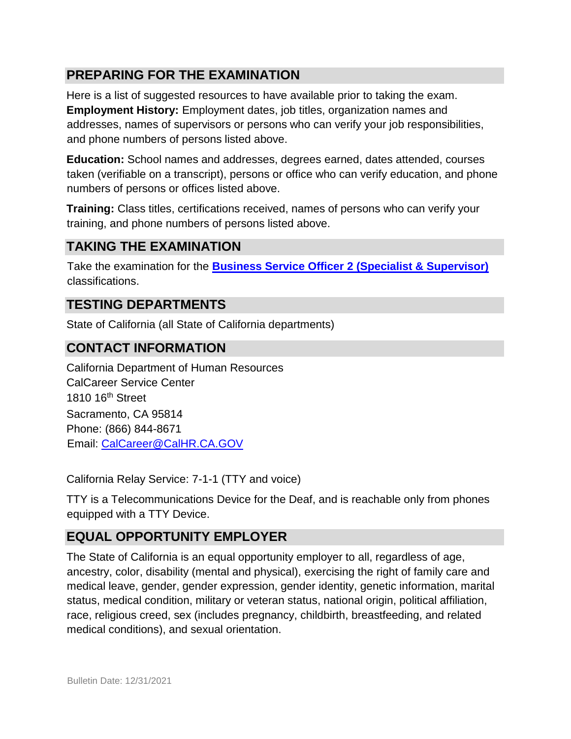## **PREPARING FOR THE EXAMINATION**

Here is a list of suggested resources to have available prior to taking the exam. **Employment History:** Employment dates, job titles, organization names and addresses, names of supervisors or persons who can verify your job responsibilities, and phone numbers of persons listed above.

**Education:** School names and addresses, degrees earned, dates attended, courses taken (verifiable on a transcript), persons or office who can verify education, and phone numbers of persons or offices listed above.

**Training:** Class titles, certifications received, names of persons who can verify your training, and phone numbers of persons listed above.

## **TAKING THE EXAMINATION**

Take the examination for the **[Business Service Officer 2 \(Specialist & Supervisor\)](https://www.jobs.ca.gov/public/login.aspx?ExamId=3PB1801)** classifications.

### **TESTING DEPARTMENTS**

State of California (all State of California departments)

#### **CONTACT INFORMATION**

California Department of Human Resources CalCareer Service Center 1810 16th Street Sacramento, CA 95814 Phone: (866) 844-8671 Email: CalCareer@CalHR.CA.GOV

California Relay Service: 7-1-1 (TTY and voice)

TTY is a Telecommunications Device for the Deaf, and is reachable only from phones equipped with a TTY Device.

## **EQUAL OPPORTUNITY EMPLOYER**

The State of California is an equal opportunity employer to all, regardless of age, ancestry, color, disability (mental and physical), exercising the right of family care and medical leave, gender, gender expression, gender identity, genetic information, marital status, medical condition, military or veteran status, national origin, political affiliation, race, religious creed, sex (includes pregnancy, childbirth, breastfeeding, and related medical conditions), and sexual orientation.